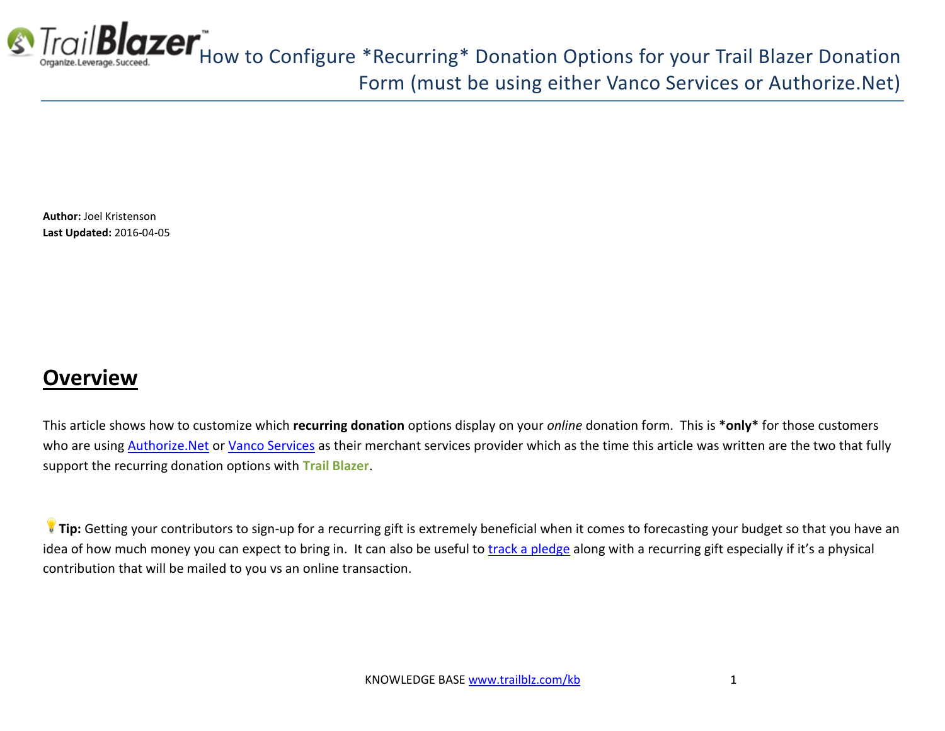

**Blazer**<br>How to Configure \*Recurring\* Donation Options for your Trail Blazer Donation Form (must be using either Vanco Services or Authorize.Net)

**Author:** Joel Kristenson **Last Updated:** 2016-04-05

#### **Overview**

This article shows how to customize which **recurring donation** options display on your *online* donation form. This is **\*only\*** for those customers who are using **Authorize. Net or [Vanco Services](http://vancopayments.com/)** as their merchant services provider which as the time this article was written are the two that fully support the recurring donation options with **Trail Blazer**.

**[T](http://www.google.com/url?sa=i&rct=j&q=&esrc=s&frm=1&source=images&cd=&cad=rja&docid=aACc5KiWReQYlM&tbnid=W5IECPDboZQP1M:&ved=0CAUQjRw&url=http://www.us-cert.gov/&ei=tbV7UsvQEPPnsATW8IGYBw&psig=AFQjCNHIPoVaSNP2q1LzmE9cF9ItiXfFqw&ust=1383925536085878)ip:** Getting your contributors to sign-up for a recurring gift is extremely beneficial when it comes to forecasting your budget so that you have an idea of how much money you can expect to bring in. It can also be useful to [track a pledge](http://www.trailblz.com/kb/?action=view&kb=194&cat=1) along with a recurring gift especially if it's a physical contribution that will be mailed to you vs an online transaction.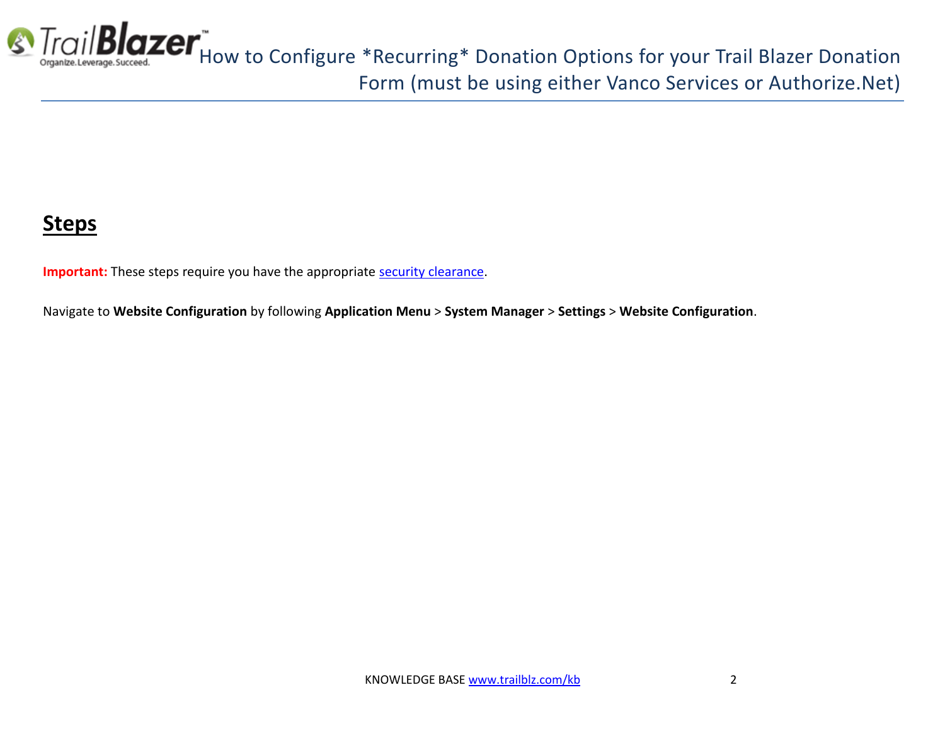

## **Steps**

**Important:** These steps require you have the appropriate [security clearance.](http://www.trailblz.com/kb/?action=view&kb=67&cat=1)

Navigate to **Website Configuration** by following **Application Menu** > **System Manager** > **Settings** > **Website Configuration**.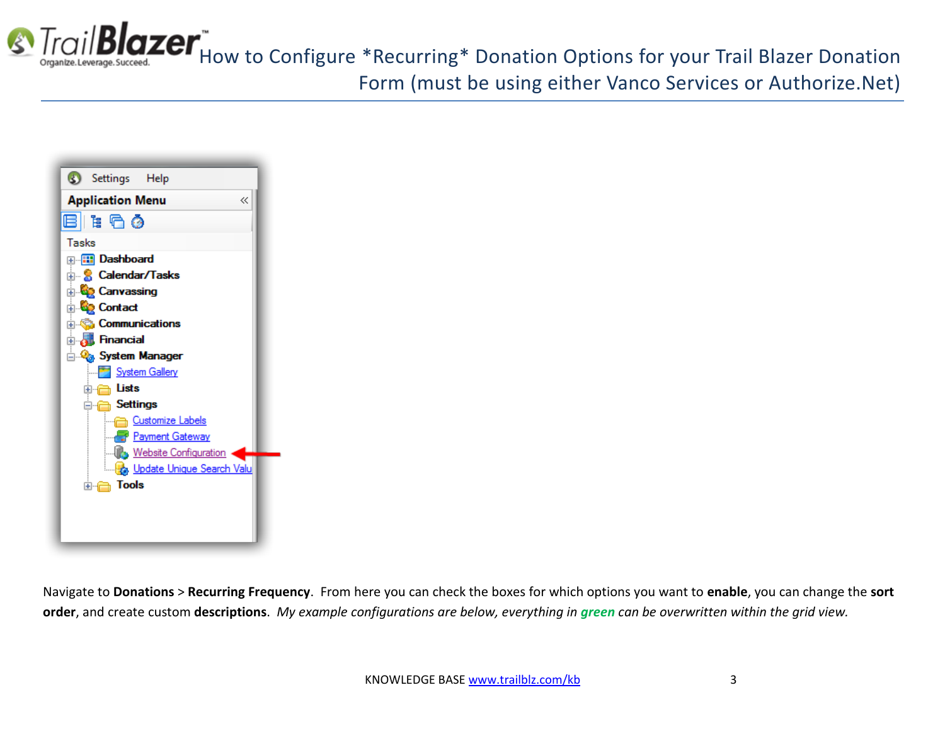

**S** Trail **Blazer** How to Configure \*Recurring\* Donation Options for your Trail Blazer Donation Form (must be using either Vanco Services or Authorize.Net)



Navigate to **Donations** > **Recurring Frequency**. From here you can check the boxes for which options you want to **enable**, you can change the **sort order**, and create custom **descriptions**. *My example configurations are below, everything in green can be overwritten within the grid view.*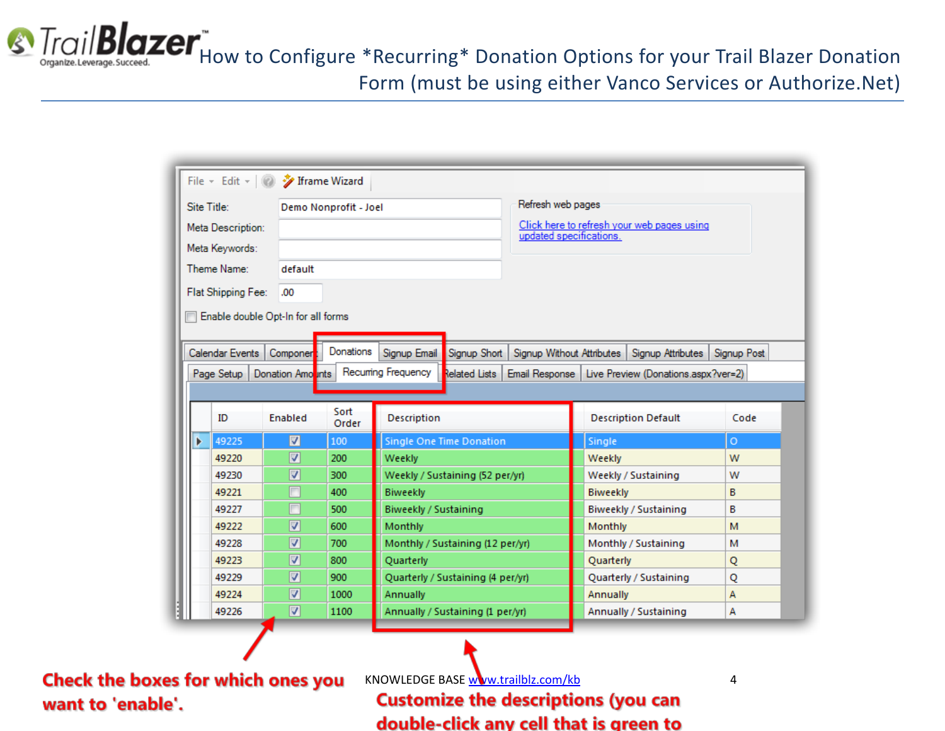**S** Trail **Blazer**<sup>"</sup><br> *Grigantze.Leverage.Succeed.* Donation Configure \*Recurring\* Donation Options for your Trail Blazer Donation Form (must be using either Vanco Services or Authorize.Net)

|   |                    | File v Edit v   2 / Iframe Wizard  |                       |                       |                                   |                           |                 |                                                      |             |  |
|---|--------------------|------------------------------------|-----------------------|-----------------------|-----------------------------------|---------------------------|-----------------|------------------------------------------------------|-------------|--|
|   | Site Title:        |                                    | Demo Nonprofit - Joel |                       |                                   | Refresh web pages         |                 |                                                      |             |  |
|   | Meta Description:  |                                    |                       |                       |                                   |                           |                 | Click here to refresh your web pages using           |             |  |
|   | Meta Keywords:     |                                    |                       |                       |                                   | updated specifications.   |                 |                                                      |             |  |
|   | Theme Name:        | default                            |                       |                       |                                   |                           |                 |                                                      |             |  |
|   |                    |                                    |                       |                       |                                   |                           |                 |                                                      |             |  |
|   | Flat Shipping Fee: | .00                                |                       |                       |                                   |                           |                 |                                                      |             |  |
|   |                    | Enable double Opt-In for all forms |                       |                       |                                   |                           |                 |                                                      |             |  |
|   |                    |                                    |                       |                       |                                   |                           |                 |                                                      |             |  |
|   | Calendar Events    | Componer                           | Donations             | Signup Email          | Signup Short                      | Signup Without Attributes |                 | Signup Attributes                                    | Signup Post |  |
|   | Page Setup         | Donation Amounts                   |                       | Recuming Frequency    | <b>Related Lists</b>              |                           |                 | Email Response   Live Preview (Donations.aspx?ver=2) |             |  |
|   |                    |                                    |                       |                       |                                   |                           |                 |                                                      |             |  |
|   | ID                 | Enabled                            | Sort<br>Order         | <b>Description</b>    |                                   |                           |                 | <b>Description Default</b>                           | Code        |  |
| Þ | 49225              | ☑                                  | 100                   |                       | Single One Time Donation          |                           | Single          |                                                      | Ō           |  |
|   | 49220              | ☑                                  | 200                   | Weekly                |                                   |                           | Weekly          |                                                      | W           |  |
|   | 49230              | ⊽                                  | 300                   |                       | Weekly / Sustaining (52 per/yr)   |                           |                 | Weekly / Sustaining                                  | W           |  |
|   | 49221              |                                    | 400                   | <b>Biweekly</b>       |                                   |                           | <b>Biweekly</b> |                                                      | в           |  |
|   | 49227              | П                                  | 500                   | Biweekly / Sustaining |                                   |                           |                 | <b>Biweekly / Sustaining</b>                         | в           |  |
|   | 49222              | ⊽                                  | 600                   | Monthly               |                                   |                           | Monthly         |                                                      | м           |  |
|   | 49228              | ⊽                                  | 700                   |                       | Monthly / Sustaining (12 per/yr)  |                           |                 | Monthly / Sustaining                                 | м           |  |
|   | 49223              | ⊽                                  | 800                   | Quarterly             |                                   |                           | Quarterly       |                                                      | Q           |  |
|   | 49229              | √                                  | 900                   |                       | Quarterly / Sustaining (4 per/yr) |                           |                 | Quarterly / Sustaining                               | Q           |  |
|   | 49224              | ⊽                                  | 1000                  | <b>Annually</b>       |                                   |                           | Annually        |                                                      | А           |  |
|   | 49226              | ⊽                                  | 1100                  |                       | Annually / Sustaining (1 per/yr)  |                           |                 | Annually / Sustaining                                | А           |  |

Check the boxes for which ones you want to 'enable'.

KNOWLEDGE BAS[E www.trailblz.com/kb](http://www.trailblz.com/kb) 4

**Customize the descriptions (you can** double-click any cell that is green to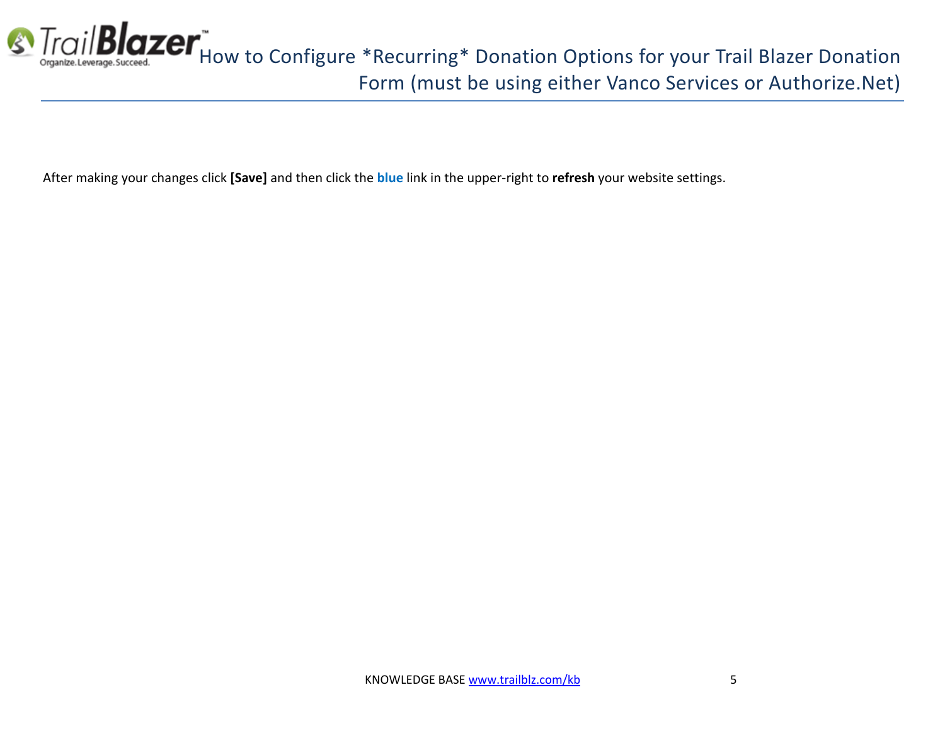

After making your changes click **[Save]** and then click the **blue** link in the upper-right to **refresh** your website settings.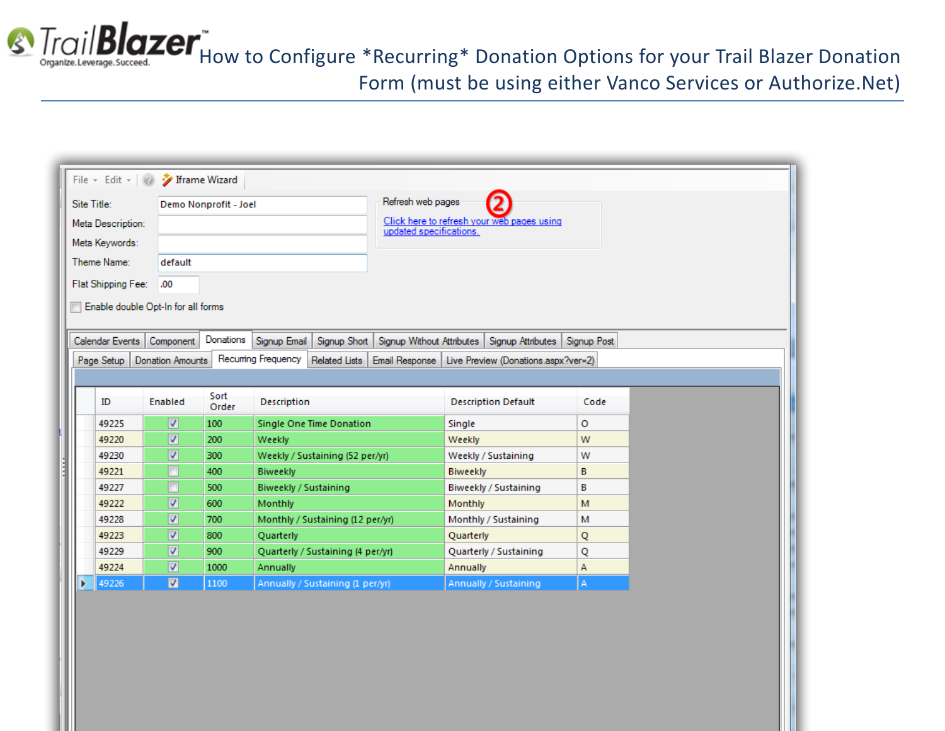

**S** Trail **Blazer**<sup>\*</sup><br> **S** Trail Blazer Donation<br> **S** Trail Blazer Donation Form (must be using either Vanco Services or Authorize.Net)

|             |                    | File v Edit v   2 / Iframe Wizard  |                       |                       |                                   |                         |                 |                                               |             |
|-------------|--------------------|------------------------------------|-----------------------|-----------------------|-----------------------------------|-------------------------|-----------------|-----------------------------------------------|-------------|
| Site Title: |                    |                                    | Demo Nonprofit - Joel |                       |                                   | Refresh web pages       |                 |                                               |             |
|             | Meta Description:  |                                    |                       |                       |                                   |                         |                 | Click here to refresh your web pages using    |             |
|             | Meta Keywords:     |                                    |                       |                       |                                   | updated specifications. |                 |                                               |             |
|             | Theme Name:        | default                            |                       |                       |                                   |                         |                 |                                               |             |
|             |                    |                                    |                       |                       |                                   |                         |                 |                                               |             |
|             | Flat Shipping Fee: | .00.                               |                       |                       |                                   |                         |                 |                                               |             |
|             |                    | Enable double Opt-In for all forms |                       |                       |                                   |                         |                 |                                               |             |
|             |                    |                                    |                       |                       |                                   |                         |                 |                                               |             |
|             | Calendar Events    | Component                          | Donations             | Signup Email          | Signup Short                      |                         |                 | Signup Without Attributes   Signup Attributes | Signup Post |
|             | Page Setup         | Donation Amounts                   |                       | Recuming Frequency    | <b>Related Lists</b>              | Email Response          |                 | Live Preview (Donations.aspx?ver=2)           |             |
|             |                    |                                    |                       |                       |                                   |                         |                 |                                               |             |
|             | ID                 | Enabled                            | Sort<br>Order         | Description           |                                   |                         |                 | <b>Description Default</b>                    | Code        |
|             | 49225              | $\overline{\mathbf{v}}$            | 100                   |                       | Single One Time Donation          |                         | Single          |                                               | o           |
|             | 49220              | √                                  | 200                   | Weekly                |                                   |                         | Weekly          |                                               | W           |
|             | 49230              | $\overline{\mathcal{L}}$           | 300                   |                       | Weekly / Sustaining (52 per/yr)   |                         |                 | Weekly / Sustaining                           | W           |
|             | 49221              | Г                                  | 400                   | <b>Biweekly</b>       |                                   |                         | <b>Biweekly</b> |                                               | B           |
|             | 49227              | П                                  | 500                   | Biweekly / Sustaining |                                   |                         |                 | Biweekly / Sustaining                         | B           |
|             | 49222              | $\blacktriangledown$               | 600                   | Monthly               |                                   |                         | Monthly         |                                               | M           |
|             | 49228              | $\overline{\mathcal{L}}$           | 700                   |                       | Monthly / Sustaining (12 per/yr)  |                         |                 | Monthly / Sustaining                          | м           |
|             | 49223              | ⊽                                  | 800                   | Quarterly             |                                   |                         | Quarterly       |                                               | Q           |
|             | 49229              | $\blacktriangledown$               | 900                   |                       | Quarterly / Sustaining (4 per/yr) |                         |                 | Quarterly / Sustaining                        | Q           |
|             | 49224              | ⊽                                  | 1000                  | Annually              |                                   |                         | Annually        |                                               | А           |
| Þ           | 49226              | $\overline{\mathbf{v}}$            | 1100                  |                       | Annually / Sustaining (1 per/yr)  |                         |                 | Annually / Sustaining                         | Α           |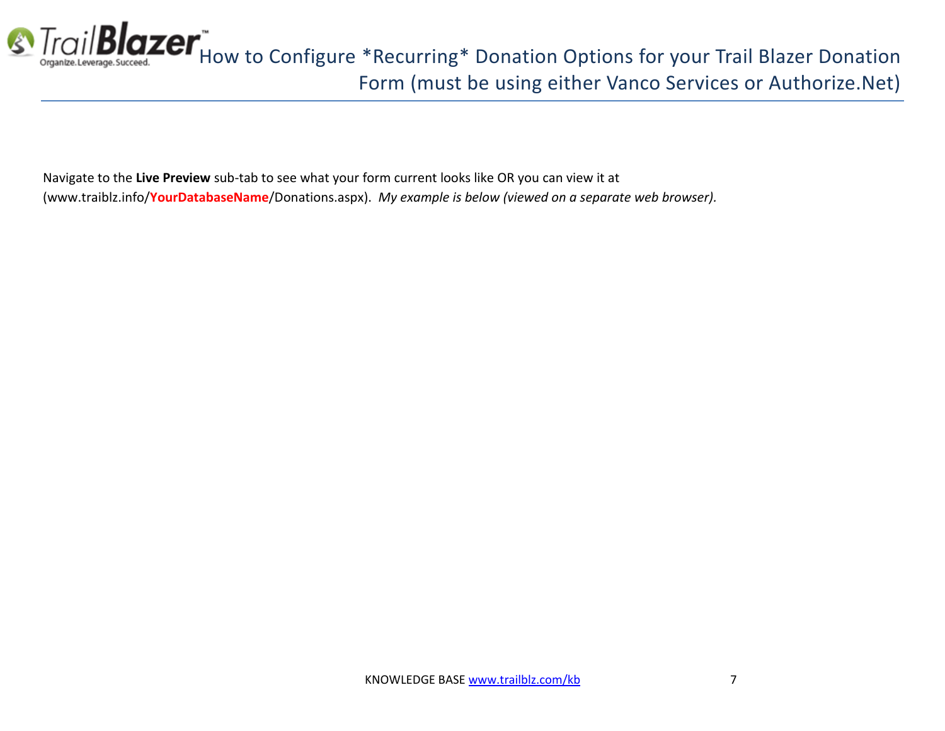

Navigate to the **Live Preview** sub-tab to see what your form current looks like OR you can view it at (www.traiblz.info/**YourDatabaseName**/Donations.aspx). *My example is below (viewed on a separate web browser).*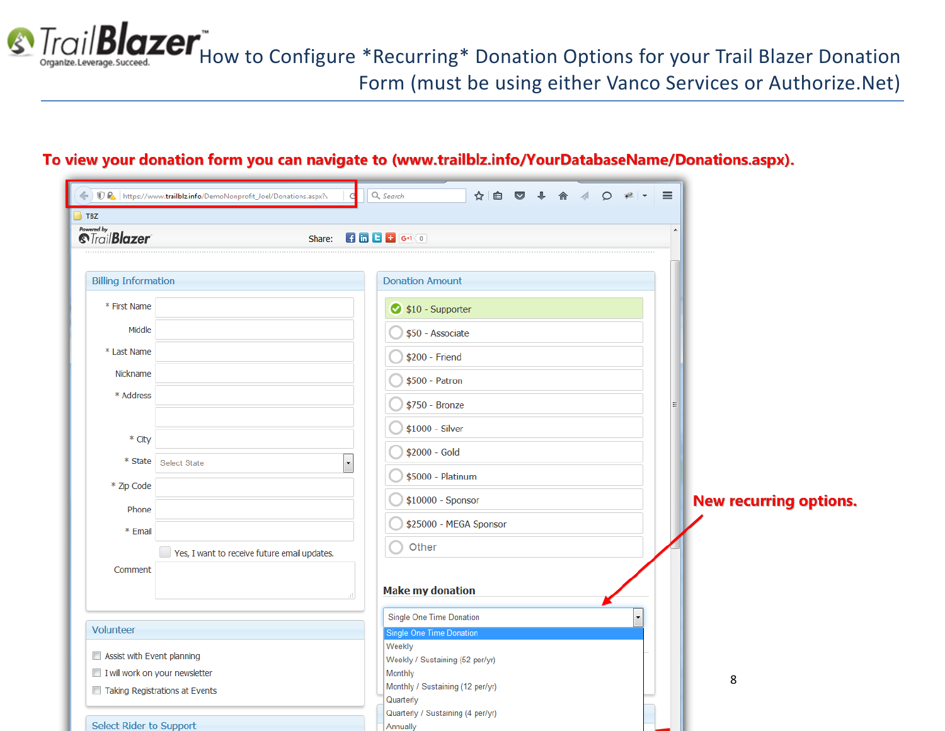

#### To view your donation form you can navigate to (www.trailblz.info/YourDatabaseName/Donations.aspx).

| A https://www.trailblz.info/DemoNonprofit_Joel/Donations.aspx?v<br>$\parallel$ TBZ             | Q, Search<br>☆ 自 ◎ ↓ 合 √ 〇 ₩  ▼                                                                                                            | $\equiv$                      |
|------------------------------------------------------------------------------------------------|--------------------------------------------------------------------------------------------------------------------------------------------|-------------------------------|
| Powered by<br><i><b><i><u><b>StrailBlazer</b></u></i></b></i><br>Share:                        | $H$ in $H$ is $H$ is $H$                                                                                                                   |                               |
| <b>Billing Information</b><br>* First Name<br>Middle<br>* Last Name                            | <b>Donation Amount</b><br>\$10 - Supporter<br>\$50 - Associate<br>\$200 - Friend                                                           |                               |
| Nickname<br>* Address<br>* City                                                                | \$500 - Patron<br>\$750 - Bronze<br>$$1000 - Silver$<br>\$2000 - Gold                                                                      |                               |
| $*$ State<br><b>Select State</b><br>$\overline{\phantom{a}}$<br>* Zip Code<br>Phone<br>* Email | \$5000 - Platinum<br>\$10000 - Sponsor<br>\$25000 - MEGA Sponsor<br>Other                                                                  | <b>New recurring options.</b> |
| Yes, I want to receive future email updates.<br>Comment                                        | <b>Make my donation</b>                                                                                                                    |                               |
| Volunteer                                                                                      | Single One Time Donation<br><b>Single One Time Donation</b>                                                                                |                               |
| Assist with Event planning<br>I will work on your newsletter<br>Taking Registrations at Events | Weekly<br>Weekly / Sustaining (52 per/yr)<br>Monthly<br>Monthly / Sustaining (12 per/yr)<br>Quarterly<br>Quarterly / Sustaining (4 per/yr) | 8                             |
| Select Rider to Sunnort                                                                        | <b>Annually</b>                                                                                                                            |                               |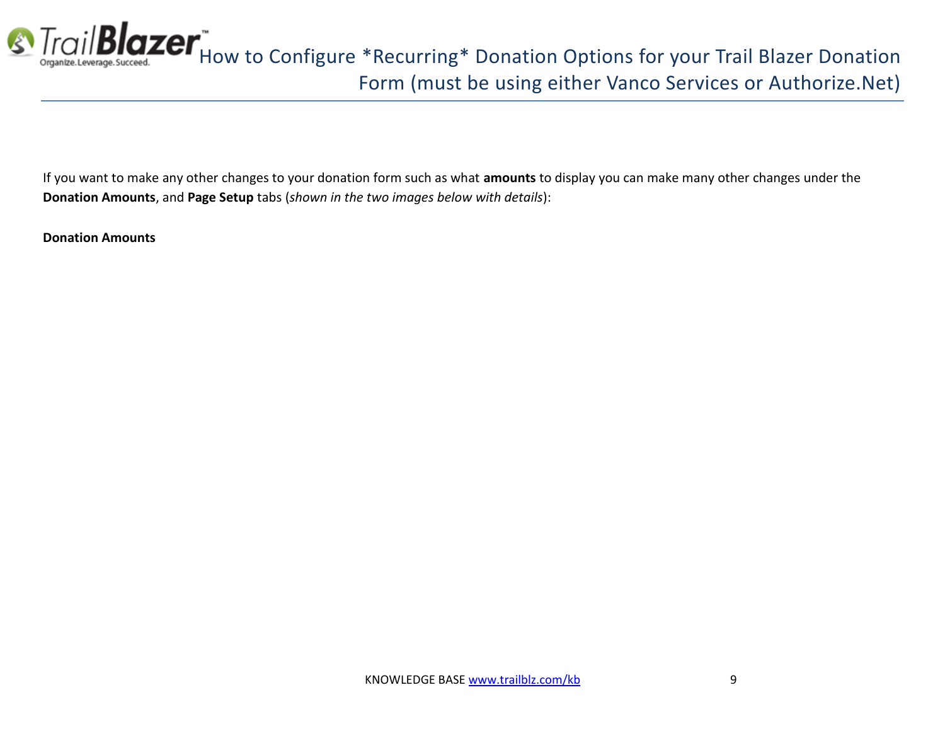

If you want to make any other changes to your donation form such as what **amounts** to display you can make many other changes under the **Donation Amounts**, and **Page Setup** tabs (*shown in the two images below with details*):

**Donation Amounts**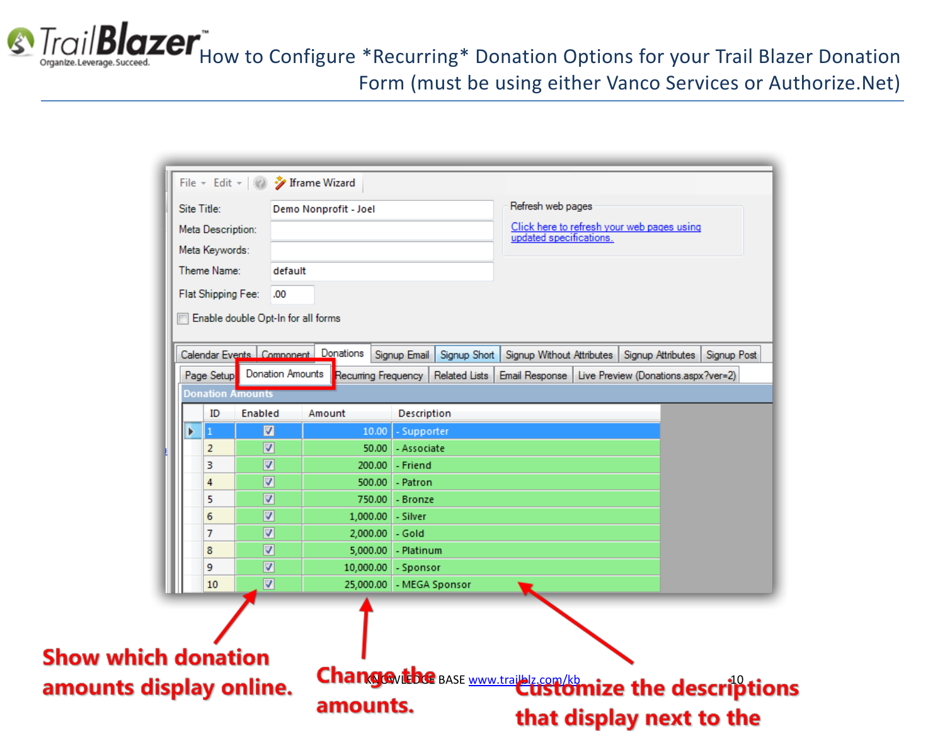**S** Trail **Blazer**<sup>\*</sup><br> **S** Trail Blazer Donation<br> *Cryante.Leverage.Succeed.* Form (must be using either Vanco Services or Authorize.Net)

| Site Title:<br>Meta Description: |                                    | Demo Nonprofit - Joel                   |                              | Refresh web pages<br>Click here to refresh your web pages using |             |
|----------------------------------|------------------------------------|-----------------------------------------|------------------------------|-----------------------------------------------------------------|-------------|
| Meta Keywords:                   |                                    |                                         |                              | updated specifications.                                         |             |
| Theme Name:                      | default                            |                                         |                              |                                                                 |             |
| Flat Shipping Fee:               | .00                                |                                         |                              |                                                                 |             |
|                                  |                                    |                                         |                              |                                                                 |             |
|                                  | Enable double Opt-In for all forms |                                         |                              |                                                                 |             |
|                                  |                                    | Calendar Events   Component   Donations | Signup Email<br>Signup Short | Signup Without Attributes   Signup Attributes                   | Signup Post |
| Page Setup                       |                                    | Donation Amounts Recurring Frequency    | <b>Related Lists</b>         | Email Response   Live Preview (Donations.aspx?ver=2)            |             |
| Donation Amounts                 |                                    |                                         |                              |                                                                 |             |
| ID                               | Enabled                            | Amount                                  | Description                  |                                                                 |             |
|                                  | $\overline{\mathbf{v}}$            | 10.00                                   | - Supporter                  |                                                                 |             |
| 2                                | V                                  | 50.00                                   | - Associate                  |                                                                 |             |
| з                                | V                                  | 200.00                                  | - Friend                     |                                                                 |             |
| 4                                | ⊽                                  | 500.00                                  | - Patron                     |                                                                 |             |
| 5                                | V                                  | 750.00                                  | - Bronze                     |                                                                 |             |
| 6                                | ⊽                                  |                                         | 1,000.00 - Silver            |                                                                 |             |
| 7                                | ⊽                                  | 2,000.00                                | - Gold                       |                                                                 |             |
| 8                                | V                                  | 5,000.00                                | - Platinum                   |                                                                 |             |
| 9                                | V                                  |                                         | 10,000.00 - Sponsor          |                                                                 |             |
| 10                               | ⊽                                  |                                         | 25,000.00 - MEGA Sponsor     |                                                                 |             |

that display next to the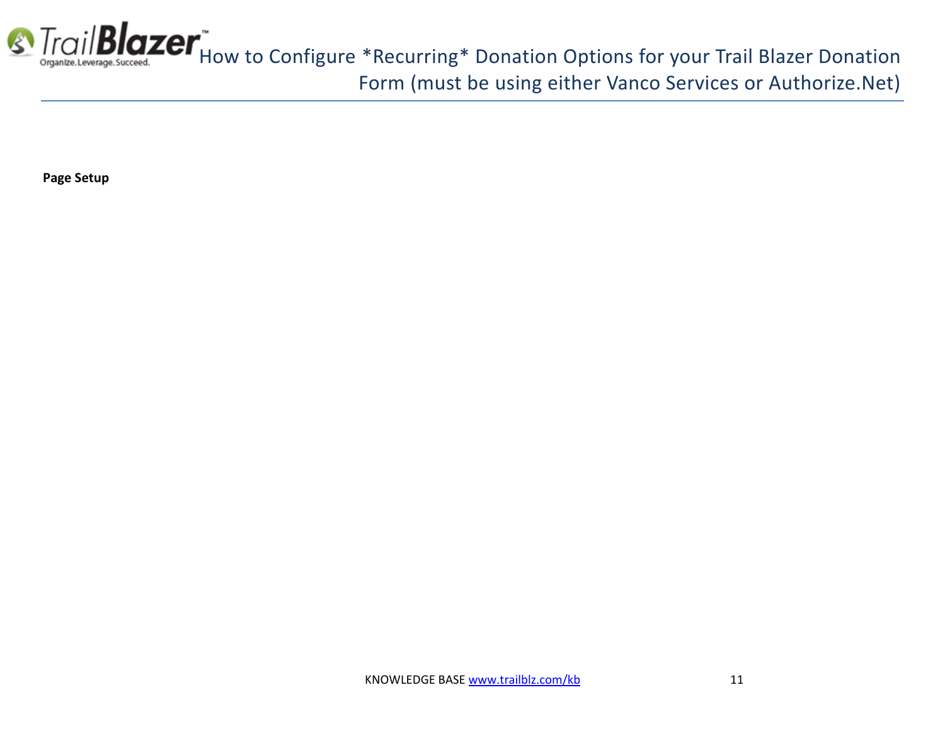

**Page Setup**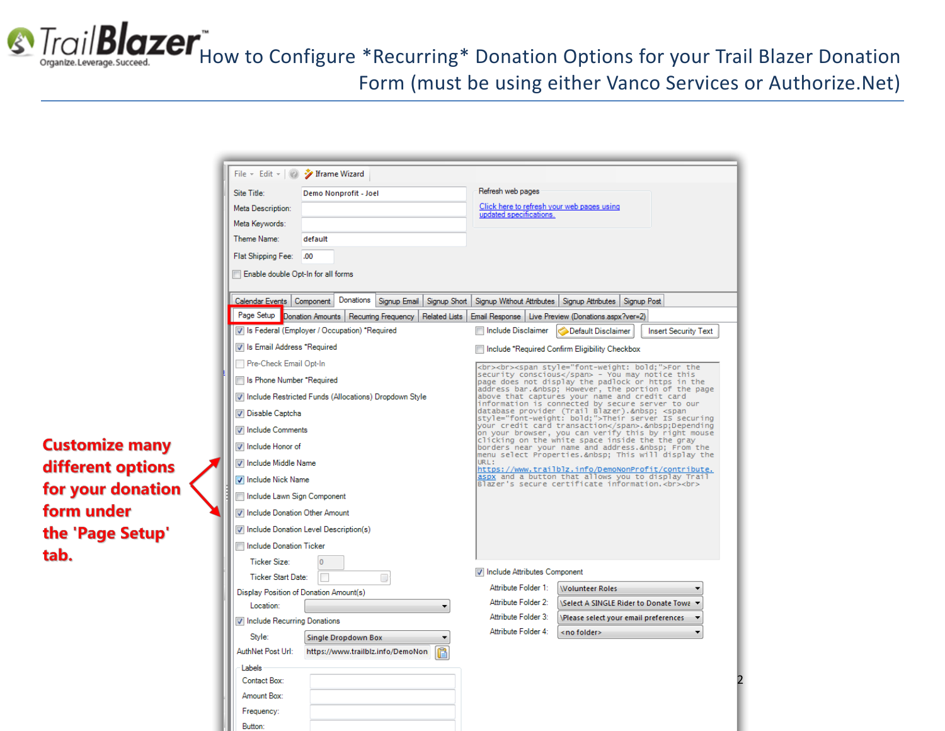**S** Trail **Blazer** Thow to Configure \*Recurring\* Donation Options for your Trail Blazer Donation Form (must be using either Vanco Services or Authorize.Net)

> File v Edit v | 2 J Iframe Wizard Site Title: Refresh web pages Demo Nonprofit - Joel Click here to refresh your web pages using **Meta Description** updated specifications. Meta Keywords: Theme Name: default Flat Shipping Fee: .00 Enable double Opt-In for all forms Calendar Events Component Donations Signup Email Signup Short Signup Without Attributes Signup Attributes Signup Post Page Setup Donation Amounts Recurring Frequency Related Lists Email Response Live Preview (Donations.aspx?ver=2) Is Federal (Employer / Occupation) \*Required Include Disclaimer Default Disclaimer **Insert Security Text** I Is Email Address \*Required Im Include \*Required Confirm Eligibility Checkbox Pre-Check Email Opt-In <br><br><span style="font-weight: bold;">For the security conscious</span> - You may notice this Is Phone Number \*Required page does not display the padlock or https in the address bar. However, the portion of the page 7 Include Restricted Funds (Allocations) Dropdown Style above that captures your name and credit card information is connected by secure server to our database provider (Trail Blazer). <span Disable Captcha style="font-weight: bold;">Their server IS securing your credit card transaction</span>.&nbsp;Depending **V** Include Comments on your browser, you can verify this by right mouse clicking on the white space inside the the gray Include Honor of borders near your name and address. From the menu select Properties. This will display the I Include Middle Name **IRI** w.c.<br><u>Aspx and a button that allows you to display Trail:</u><br><u>Aspx</u> and a button that allows you to display Trail:<br>Blazer's secure certificate information.<br><br> **V** Include Nick Name Include Lawn Sign Component I Include Donation Other Amount Include Donation Level Description(s) Include Donation Ticker Ticker Size: I Include Attributes Component **Ticker Start Date:** T  $\Box$ Attribute Folder 1: Volunteer Roles Display Position of Donation Amount(s) Attribute Folder 2: \Select A SINGLE Rider to Donate Towa Location: Attribute Folder 3: √Please select your email preferences  $\overline{\phantom{a}}$ Include Recurring Donations Attribute Folder 4: <no folder> Style: **Single Dropdown Box** AuthNet Post Url: https://www.trailblz.info/DemoNon Labels Contact Box:  $\mathbf{L}$ Amount Box:

**Customize many** different options for your donation form under the 'Page Setup' tab.

> Frequency: Button: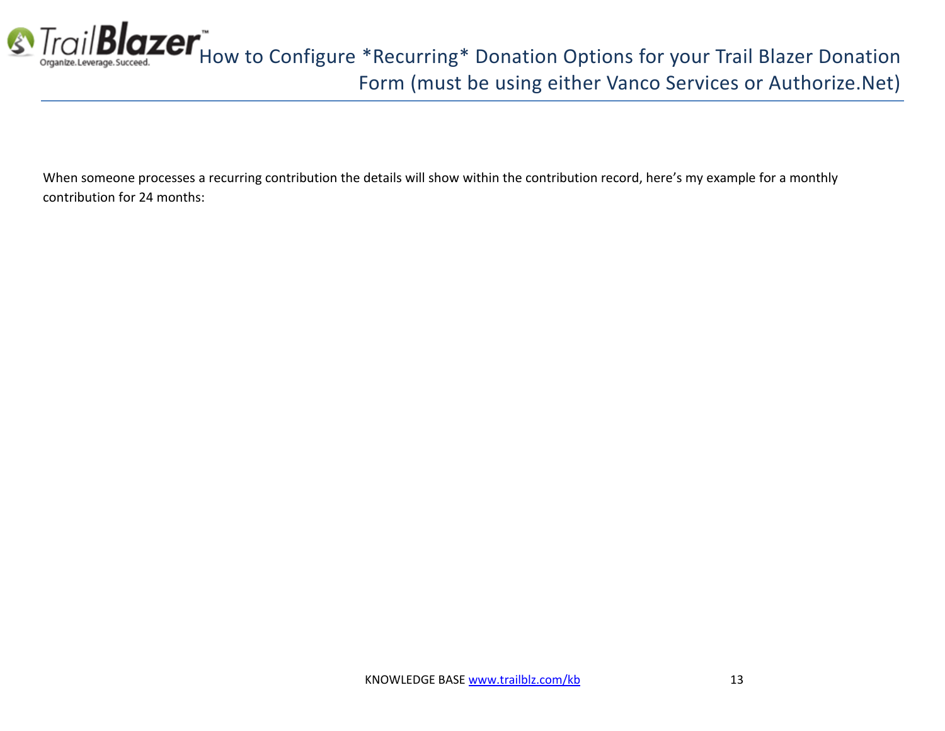

When someone processes a recurring contribution the details will show within the contribution record, here's my example for a monthly contribution for 24 months: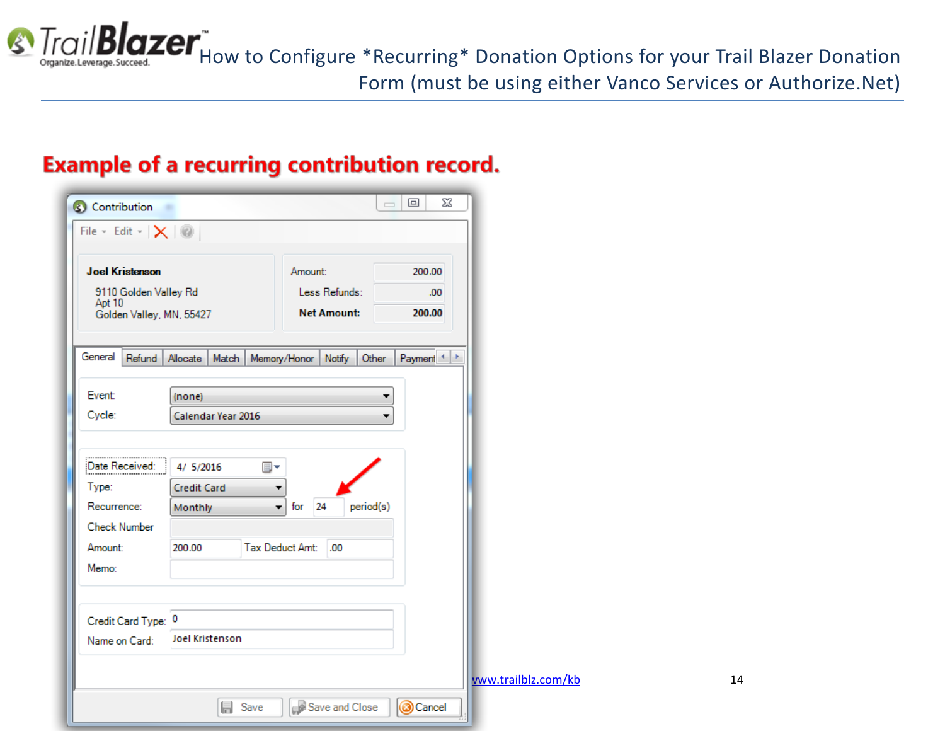

**S** Trail **Blazer** How to Configure \*Recurring\* Donation Options for your Trail Blazer Donation Form (must be using either Vanco Services or Authorize.Net)

### **Example of a recurring contribution record.**

| <b>Joel Kristenson</b>               |                                 | Amount:                             | 200.00                        |  |
|--------------------------------------|---------------------------------|-------------------------------------|-------------------------------|--|
| 9110 Golden Valley Rd<br>Apt 10      |                                 | Less Refunds:<br><b>Net Amount:</b> | .00.<br>200.00                |  |
| Golden Valley, MN, 55427             |                                 |                                     |                               |  |
| General<br>Refund                    | Allocate Match                  | Memory/Honor<br>Notify              | Payment <sup>4</sup><br>Other |  |
|                                      |                                 |                                     |                               |  |
| Event:                               | (none)                          |                                     | ▼                             |  |
| Cycle:                               | Calendar Year 2016              |                                     | ▼                             |  |
|                                      |                                 |                                     |                               |  |
| Type:                                | 4/ 5/2016<br><b>Credit Card</b> | ▦▾                                  |                               |  |
| Recurrence:                          | Monthly                         | 24<br>for<br>۰                      | period(s)                     |  |
| <b>Check Number</b>                  |                                 |                                     |                               |  |
| Date Received:<br>Amount:            | 200.00                          | Tax Deduct Amt:<br>.00              |                               |  |
| Memo:                                |                                 |                                     |                               |  |
|                                      |                                 |                                     |                               |  |
| Credit Card Type: 0<br>Name on Card: | Joel Kristenson                 |                                     |                               |  |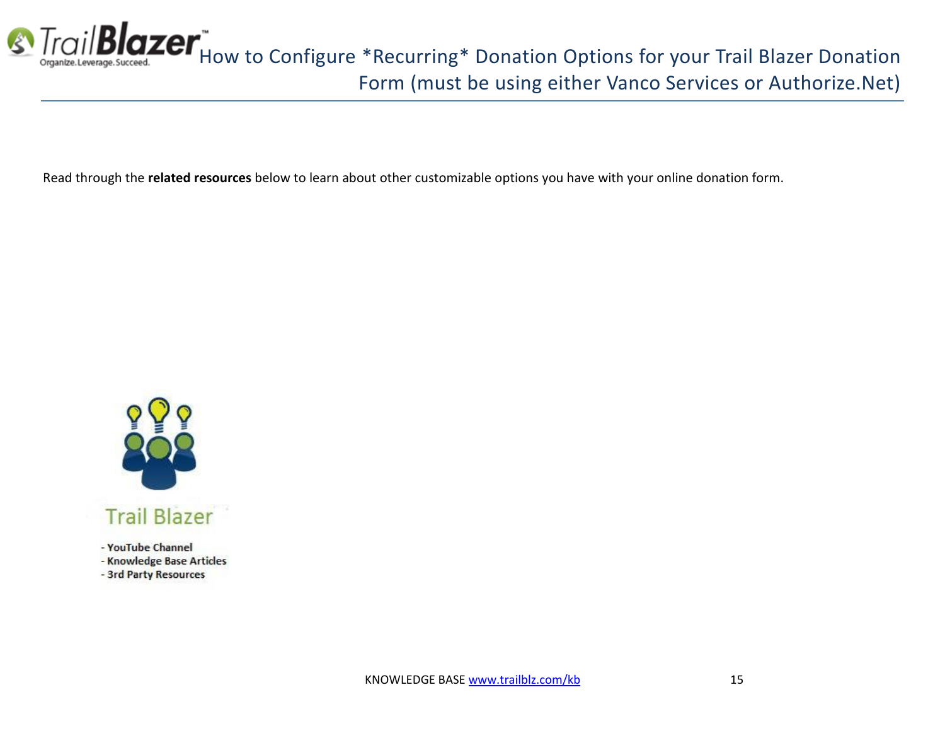

Read through the **related resources** below to learn about other customizable options you have with your online donation form.



- YouTube Channel

- Knowledge Base Articles

- 3rd Party Resources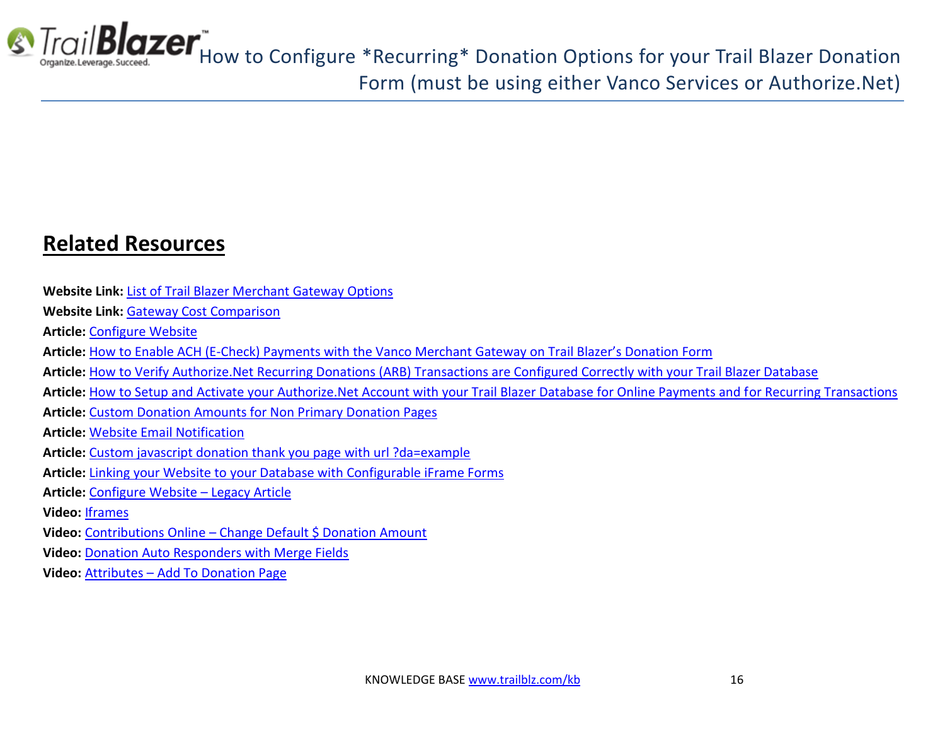

### **Related Resources**

- **Website Link:** [List of Trail Blazer Merchant Gateway Options](http://trailblz.com/Credit-Card-Payment-Merchant-Gateway/default.aspx?source=non-profit-manager)
- **Website Link:** [Gateway Cost Comparison](http://trailblz.com/company/credit-card-gateway-comparison.aspx)
- **Article:** [Configure Website](http://www.trailblz.com/kb/?action=view&kb=223&cat=1)
- **Article:** How to Enable ACH (E-[Check\) Payments with the Vanco Merchant Gateway on Trail Blazer's Donation Form](http://www.trailblz.com/kb/?action=view&kb=293&cat=1)
- **Article:** [How to Verify Authorize.Net Recurring Donations \(ARB\) Transactions are Configured Correctly with your Trail Blazer Database](http://www.trailblz.com/kb/?action=view&kb=294&cat=1)
- **Article:** [How to Setup and Activate your Authorize.Net Account with your Trail Blazer Database for Online Payments and for Recurring Transactions](http://www.trailblz.com/kb/?action=view&kb=262&cat=1)
- **Article:** [Custom Donation Amounts for Non Primary Donation Pages](http://www.trailblz.com/kb/?action=view&kb=155&cat=1)
- **Article:** [Website Email Notification](http://www.trailblz.com/kb/?action=view&kb=105&cat=1)
- **Article:** [Custom javascript donation thank you page with url ?da=example](http://www.trailblz.com/kb/?action=view&kb=134&cat=1)
- **Article:** [Linking your Website to your Database with Configurable iFrame Forms](http://www.trailblz.com/kb/?action=view&kb=214&cat=1)
- **Article:** [Configure Website](http://www.trailblz.com/kb/?action=view&kb=75&cat=1)  Legacy Article
- **Video:** [Iframes](https://www.youtube.com/watch?v=YYJOszM9CoU)
- **Video:** Contributions Online [Change Default \\$ Donation Amount](https://www.youtube.com/watch?v=NV58qPjkKVs)
- **Video:** [Donation Auto Responders with Merge Fields](https://www.youtube.com/watch?v=XQhVau54b48)
- **Video:** Attributes [Add To Donation Page](https://www.youtube.com/watch?v=EMhQSRU_IWw)